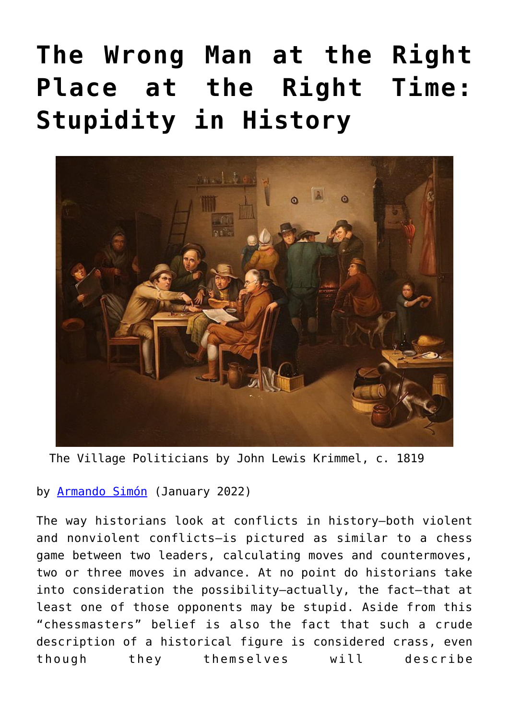## **[The Wrong Man at the Right](https://www.newenglishreview.org/articles/the-wrong-man-at-the-right-place-at-the-right-time-stupidity-in-history/) [Place at the Right Time:](https://www.newenglishreview.org/articles/the-wrong-man-at-the-right-place-at-the-right-time-stupidity-in-history/) [Stupidity in History](https://www.newenglishreview.org/articles/the-wrong-man-at-the-right-place-at-the-right-time-stupidity-in-history/)**



The Village Politicians by John Lewis Krimmel, c. 1819

by [Armando Simón](https://www.newenglishreview.org/authors/armando-simon/) (January 2022)

The way historians look at conflicts in history—both violent and nonviolent conflicts—is pictured as similar to a chess game between two leaders, calculating moves and countermoves, two or three moves in advance. At no point do historians take into consideration the possibility—actually, the fact—that at least one of those opponents may be stupid. Aside from this "chessmasters" belief is also the fact that such a crude description of a historical figure is considered crass, even though they themselves will describe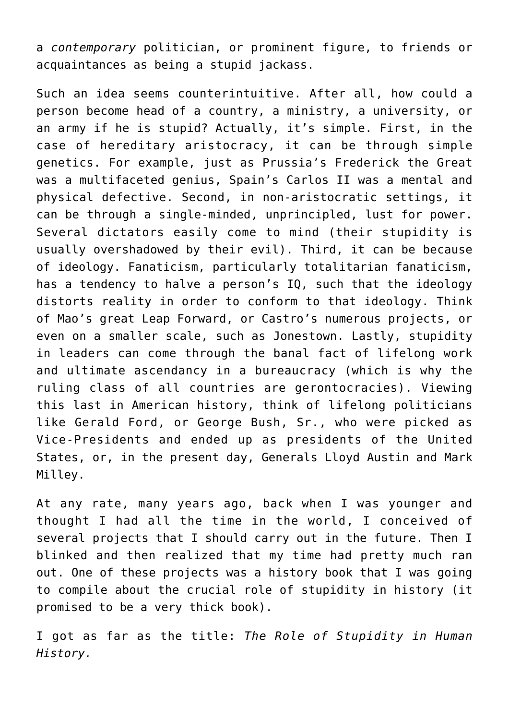a *contemporary* politician, or prominent figure, to friends or acquaintances as being a stupid jackass.

Such an idea seems counterintuitive. After all, how could a person become head of a country, a ministry, a university, or an army if he is stupid? Actually, it's simple. First, in the case of hereditary aristocracy, it can be through simple genetics. For example, just as Prussia's Frederick the Great was a multifaceted genius, Spain's Carlos II was a mental and physical defective. Second, in non-aristocratic settings, it can be through a single-minded, unprincipled, lust for power. Several dictators easily come to mind (their stupidity is usually overshadowed by their evil). Third, it can be because of ideology. Fanaticism, particularly totalitarian fanaticism, has a tendency to halve a person's IQ, such that the ideology distorts reality in order to conform to that ideology. Think of Mao's great Leap Forward, or Castro's numerous projects, or even on a smaller scale, such as Jonestown. Lastly, stupidity in leaders can come through the banal fact of lifelong work and ultimate ascendancy in a bureaucracy (which is why the ruling class of all countries are gerontocracies). Viewing this last in American history, think of lifelong politicians like Gerald Ford, or George Bush, Sr., who were picked as Vice-Presidents and ended up as presidents of the United States, or, in the present day, Generals Lloyd Austin and Mark Milley.

At any rate, many years ago, back when I was younger and thought I had all the time in the world, I conceived of several projects that I should carry out in the future. Then I blinked and then realized that my time had pretty much ran out. One of these projects was a history book that I was going to compile about the crucial role of stupidity in history (it promised to be a very thick book).

I got as far as the title: *The Role of Stupidity in Human History.*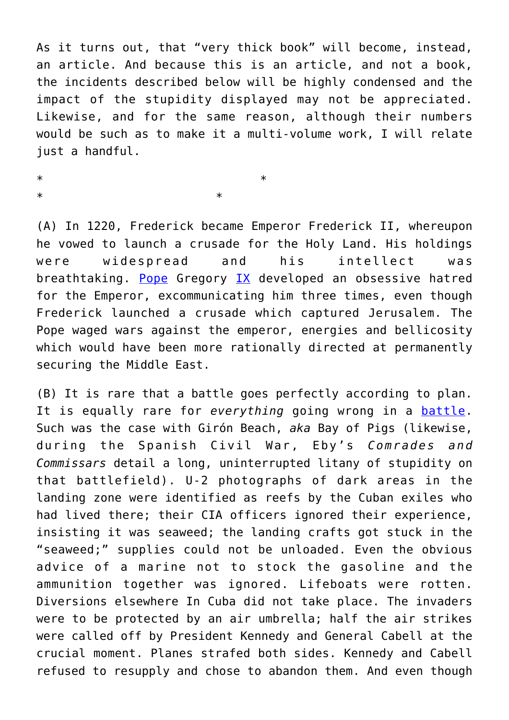As it turns out, that "very thick book" will become, instead, an article. And because this is an article, and not a book, the incidents described below will be highly condensed and the impact of the stupidity displayed may not be appreciated. Likewise, and for the same reason, although their numbers would be such as to make it a multi-volume work, I will relate just a handful.

 $*$ 

 $*$ 

(A) In 1220, Frederick became Emperor Frederick II, whereupon he vowed to launch a crusade for the Holy Land. His holdings were widespread and his intellect was breathtaking. [Pope](https://www.amazon.com/Frederick-II-Richard-D-Bressler/dp/1594162417/ref=sr_1_1?keywords=frederick+II&qid=1636044498&qsid=140-9048803-1176308&s=books&sr=1-1&sres=1594162417%2C0195080408%2C1782825606%2C019822513X%2C0804703744%2CB08QTTTXBG%2C0342921002%2C1379595487%2C1379595479%2C087580439X%2C0521533228%2C0341851590%2C4871873110%2CB0006AQ2IS%2C114081964X%2C0300218303) Gregory [IX](https://www.amazon.com/Frederick-II-Medieval-Emperor-Paperbacks/dp/0195080408/ref=sr_1_2?keywords=frederick+II&qid=1636044498&qsid=140-9048803-1176308&s=books&sr=1-2&sres=1594162417%2C0195080408%2C1782825606%2C019822513X%2C0804703744%2CB08QTTTXBG%2C0342921002%2C1379595487%2C1379595479%2C087580439X%2C0521533228%2C0341851590%2C4871873110%2CB0006AQ2IS%2C114081964X%2C0300218303) developed an obsessive hatred for the Emperor, excommunicating him three times, even though Frederick launched a crusade which captured Jerusalem. The Pope waged wars against the emperor, energies and bellicosity which would have been more rationally directed at permanently securing the Middle East.

(B) It is rare that a battle goes perfectly according to plan. It is equally rare for *everything* going wrong in a [battle.](https://reason.com/1981/02/01/bumbling-and-betrayal/) Such was the case with Girón Beach, *aka* Bay of Pigs (likewise, during the Spanish Civil War, Eby's *Comrades and Commissars* detail a long, uninterrupted litany of stupidity on that battlefield). U-2 photographs of dark areas in the landing zone were identified as reefs by the Cuban exiles who had lived there; their CIA officers ignored their experience, insisting it was seaweed; the landing crafts got stuck in the "seaweed;" supplies could not be unloaded. Even the obvious advice of a marine not to stock the gasoline and the ammunition together was ignored. Lifeboats were rotten. Diversions elsewhere In Cuba did not take place. The invaders were to be protected by an air umbrella; half the air strikes were called off by President Kennedy and General Cabell at the crucial moment. Planes strafed both sides. Kennedy and Cabell refused to resupply and chose to abandon them. And even though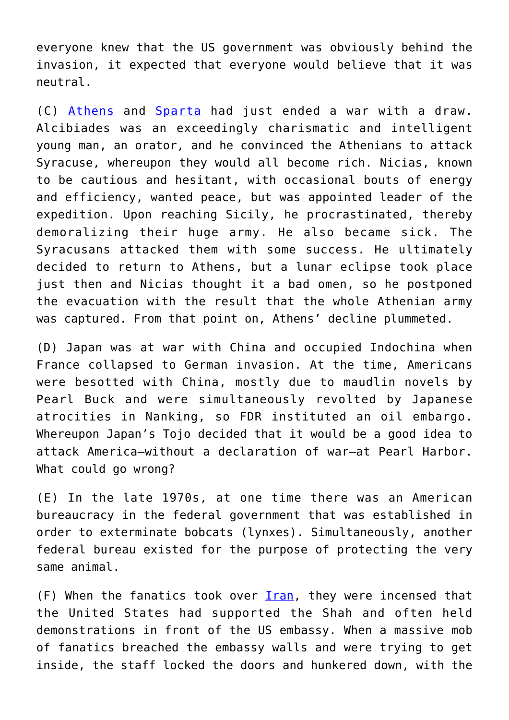everyone knew that the US government was obviously behind the invasion, it expected that everyone would believe that it was neutral.

(C) [Athens](https://www.amazon.com/Plutarchs-Lives-Noble-Grecians-Romans-ebook/dp/B09J8RW8FB/ref=sr_1_21?keywords=plutarch%27s+lives&qid=1636049707&s=books&sr=1-21) and [Sparta](https://www.amazon.com/History-Peloponnesian-War-Thucydides/dp/1774261057/ref=sr_1_1_sspa?crid=VSBELNE8EXU1&keywords=thucydides+history+of+the+peloponnesian+war&qid=1636049760&s=books&sprefix=thucyd%2Cstripbooks%2C192&sr=1-1-spons&psc=1&spLa=ZW5jcnlwdGVkUXVhbGlmaWVyPUEyNlZCMUlORTI0QlgzJmVuY3J5cHRlZElkPUEwNDIyODg5MlZRQkZFMzNERk9VSSZlbmNyeXB0ZWRBZElkPUEwNzYwOTQ4MVFGQ1YxWjkxRVE2SyZ3aWRnZXROYW1lPXNwX2F0ZiZhY3Rpb249Y2xpY2tSZWRpcmVjdCZkb05vdExvZ0NsaWNrPXRydWU=) had just ended a war with a draw. Alcibiades was an exceedingly charismatic and intelligent young man, an orator, and he convinced the Athenians to attack Syracuse, whereupon they would all become rich. Nicias, known to be cautious and hesitant, with occasional bouts of energy and efficiency, wanted peace, but was appointed leader of the expedition. Upon reaching Sicily, he procrastinated, thereby demoralizing their huge army. He also became sick. The Syracusans attacked them with some success. He ultimately decided to return to Athens, but a lunar eclipse took place just then and Nicias thought it a bad omen, so he postponed the evacuation with the result that the whole Athenian army was captured. From that point on, Athens' decline plummeted.

(D) Japan was at war with China and occupied Indochina when France collapsed to German invasion. At the time, Americans were besotted with China, mostly due to maudlin novels by Pearl Buck and were simultaneously revolted by Japanese atrocities in Nanking, so FDR instituted an oil embargo. Whereupon Japan's Tojo decided that it would be a good idea to attack America—without a declaration of war—at Pearl Harbor. What could go wrong?

(E) In the late 1970s, at one time there was an American bureaucracy in the federal government that was established in order to exterminate bobcats (lynxes). Simultaneously, another federal bureau existed for the purpose of protecting the very same animal.

(F) When the fanatics took over [Iran,](https://www.amazon.com/live?broadcast=0abdc680-2677-46f5-9ac3-1cd9d7c08430&ref=AL_DP_ILM_KKP11-10&pf_rd_p=6077bd8d-b598-447c-bdbc-590adf2def35&pf_rd_s=detail-ilm&pf_rd_t=201&pf_rd_i=B008UX8GH8&pf_rd_m=ATVPDKIKX0DER&pf_rd_r=BMJBBPZ5SC2XFBVNVE9C&pf_rd_r=BMJBBPZ5SC2XFBVNVE9C&pf_rd_p=6077bd8d-b598-447c-bdbc-590adf2def35) they were incensed that the United States had supported the Shah and often held demonstrations in front of the US embassy. When a massive mob of fanatics breached the embassy walls and were trying to get inside, the staff locked the doors and hunkered down, with the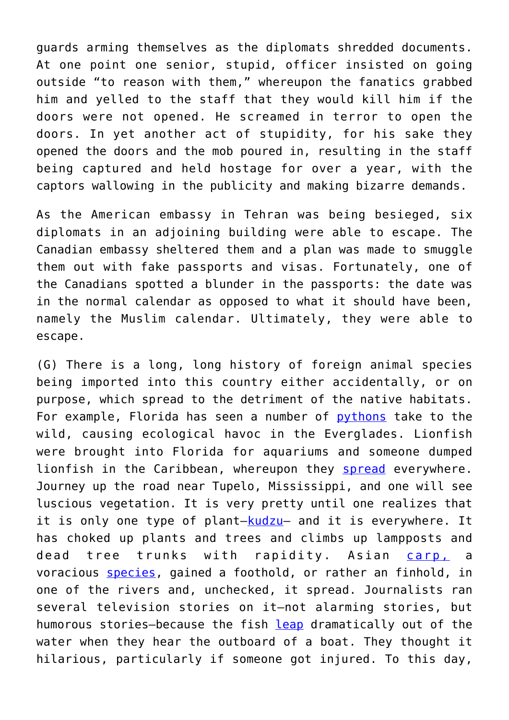guards arming themselves as the diplomats shredded documents. At one point one senior, stupid, officer insisted on going outside "to reason with them," whereupon the fanatics grabbed him and yelled to the staff that they would kill him if the doors were not opened. He screamed in terror to open the doors. In yet another act of stupidity, for his sake they opened the doors and the mob poured in, resulting in the staff being captured and held hostage for over a year, with the captors wallowing in the publicity and making bizarre demands.

As the American embassy in Tehran was being besieged, six diplomats in an adjoining building were able to escape. The Canadian embassy sheltered them and a plan was made to smuggle them out with fake passports and visas. Fortunately, one of the Canadians spotted a blunder in the passports: the date was in the normal calendar as opposed to what it should have been, namely the Muslim calendar. Ultimately, they were able to escape.

(G) There is a long, long history of foreign animal species being imported into this country either accidentally, or on purpose, which spread to the detriment of the native habitats. For example, Florida has seen a number of [pythons](https://www.usgs.gov/faqs/how-have-invasive-pythons-impacted-florida-ecosystems?qt-news_science_products=0#qt-news_science_products) take to the wild, causing ecological havoc in the Everglades. Lionfish were brought into Florida for aquariums and someone dumped lionfish in the Caribbean, whereupon they [spread](https://www.breitbart.com/news/lionfish-an-invasive-menace-terrorizing-venezuelas-coast/) everywhere. Journey up the road near Tupelo, Mississippi, and one will see luscious vegetation. It is very pretty until one realizes that it is only one type of plant-kudzu- and it is everywhere. It has choked up plants and trees and climbs up lampposts and dead tree trunks with rapidity. Asian [carp,](https://iiseagrant.org/no-reason-raising-awareness-about-the-threat-of-asian-carp-cant-be-a-little-fun/) a voracious [species](https://www.wilsonpost.com/sports/catching-asian-carp-for-fun-food/article_f6687418-fc52-11eb-a2e7-0f50eea960c8.html), gained a foothold, or rather an finhold, in one of the rivers and, unchecked, it spread. Journalists ran several television stories on it—not alarming stories, but humorous stories-because the fish [leap](https://www.youtube.com/watch?v=nc-e8EGkLMo) dramatically out of the water when they hear the outboard of a boat. They thought it hilarious, particularly if someone got injured. To this day,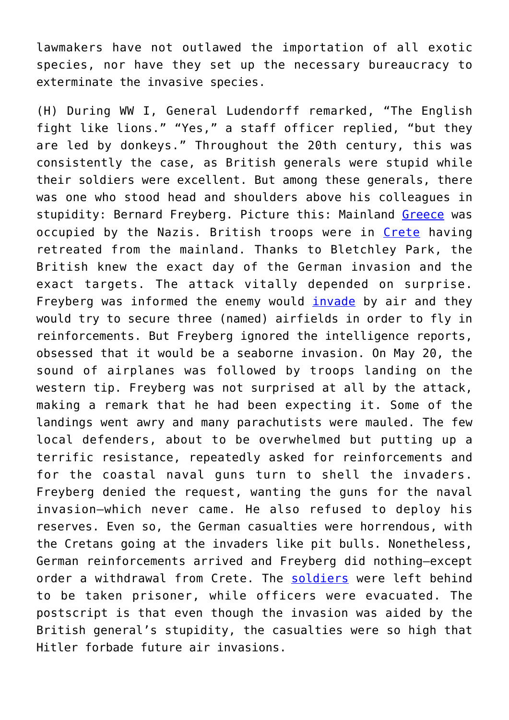lawmakers have not outlawed the importation of all exotic species, nor have they set up the necessary bureaucracy to exterminate the invasive species.

(H) During WW I, General Ludendorff remarked, "The English fight like lions." "Yes," a staff officer replied, "but they are led by donkeys." Throughout the 20th century, this was consistently the case, as British generals were stupid while their soldiers were excellent. But among these generals, there was one who stood head and shoulders above his colleagues in stupidity: Bernard Freyberg. Picture this: Mainland [Greece](https://www.youtube.com/watch?v=gxWsszePBLI) was occupied by the Nazis. British troops were in [Crete](https://www.youtube.com/watch?v=wqv3IILkIqQ) having retreated from the mainland. Thanks to Bletchley Park, the British knew the exact day of the German invasion and the exact targets. The attack vitally depended on surprise. Freyberg was informed the enemy would [invade](https://www.youtube.com/watch?v=Eex7zBP7e0k) by air and they would try to secure three (named) airfields in order to fly in reinforcements. But Freyberg ignored the intelligence reports, obsessed that it would be a seaborne invasion. On May 20, the sound of airplanes was followed by troops landing on the western tip. Freyberg was not surprised at all by the attack, making a remark that he had been expecting it. Some of the landings went awry and many parachutists were mauled. The few local defenders, about to be overwhelmed but putting up a terrific resistance, repeatedly asked for reinforcements and for the coastal naval guns turn to shell the invaders. Freyberg denied the request, wanting the guns for the naval invasion—which never came. He also refused to deploy his reserves. Even so, the German casualties were horrendous, with the Cretans going at the invaders like pit bulls. Nonetheless, German reinforcements arrived and Freyberg did nothing—except order a withdrawal from Crete. The [soldiers](https://www.youtube.com/watch?v=3OGcvwk3dqo) were left behind to be taken prisoner, while officers were evacuated. The postscript is that even though the invasion was aided by the British general's stupidity, the casualties were so high that Hitler forbade future air invasions.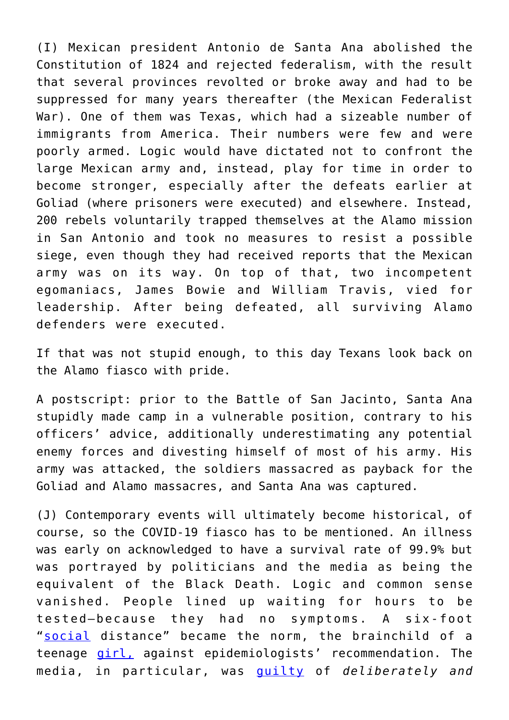(I) Mexican president Antonio de Santa Ana abolished the Constitution of 1824 and rejected federalism, with the result that several provinces revolted or broke away and had to be suppressed for many years thereafter (the Mexican Federalist War). One of them was Texas, which had a sizeable number of immigrants from America. Their numbers were few and were poorly armed. Logic would have dictated not to confront the large Mexican army and, instead, play for time in order to become stronger, especially after the defeats earlier at Goliad (where prisoners were executed) and elsewhere. Instead, 200 rebels voluntarily trapped themselves at the Alamo mission in San Antonio and took no measures to resist a possible siege, even though they had received reports that the Mexican army was on its way. On top of that, two incompetent egomaniacs, James Bowie and William Travis, vied for leadership. After being defeated, all surviving Alamo defenders were executed.

If that was not stupid enough, to this day Texans look back on the Alamo fiasco with pride.

A postscript: prior to the Battle of San Jacinto, Santa Ana stupidly made camp in a vulnerable position, contrary to his officers' advice, additionally underestimating any potential enemy forces and divesting himself of most of his army. His army was attacked, the soldiers massacred as payback for the Goliad and Alamo massacres, and Santa Ana was captured.

(J) Contemporary events will ultimately become historical, of course, so the COVID-19 fiasco has to be mentioned. An illness was early on acknowledged to have a survival rate of 99.9% but was portrayed by politicians and the media as being the equivalent of the Black Death. Logic and common sense vanished. People lined up waiting for hours to be tested—because they had no symptoms. A six-foot "[social](https://notthebee.com/article/watch-this-hilarious-compilation-of-utter-coronasanity-and-weep-for-our-world) distance" became the norm, the brainchild of a teenage [girl,](https://www.amazon.com/Price-Panic-Tyranny-Pandemic-Catastrophe/dp/B08G1Y764G/ref=sr_1_1?keywords=The+Price+of+Panic&qid=1636223797&sr=8-1) against epidemiologists' recommendation. The media, in particular, was [guilty](https://www.theepochtimes.com/mkt_morningbrief/whos-really-being-hospitalized_3963392.html?utm_source=Morningbrief&utm_medium=email&utm_campaign=mb-2021-09-02&mktids=103e4a8a3568d4bc6067c7183d607118&est=oQrJA4m7cKrqeKiIpbghIk3Ay9%2BnXvInZtsZrheaFkVU9hfrr3V4saHTt7zKCg%3D%3D) of *deliberately and*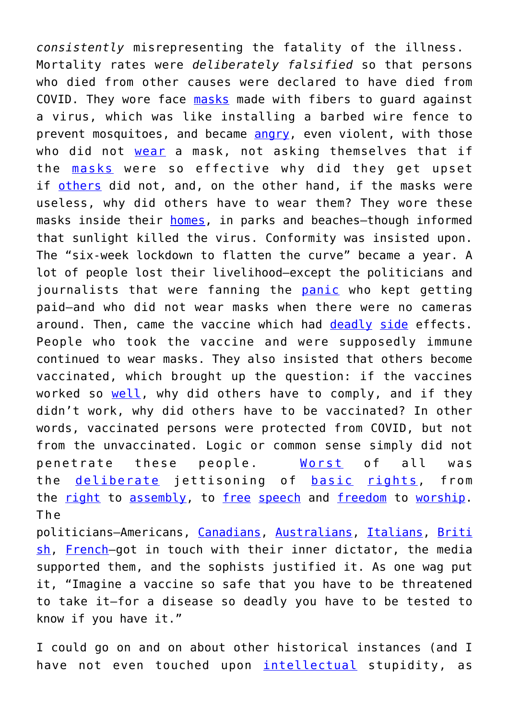*consistently* misrepresenting the fatality of the illness. Mortality rates were *deliberately falsified* so that persons who died from other causes were declared to have died from COVID. They wore face [masks](https://media.gab.com/system/media_attachments/files/085/435/118/original/4eccfec054cffddb.mp4) made with fibers to guard against a virus, which was like installing a barbed wire fence to prevent mosquitoes, and became [angry,](https://www.thegatewaypundit.com/2021/09/watch-illinois-teacher-caught-camera-calling-student-piece-sh-t-taking-mask-off/?utm_source=Email&utm_medium=the-gateway-pundit&utm_campaign=dailypm&utm_content=daily) even violent, with those who did not [wear](https://notthebee.com/article/this-weirdo-following-and-harassing-a-woman-in-target-over-masks-is-the-perfect-metaphor-for-america-right-now) a mask, not asking themselves that if the [masks](https://thefederalist.com/2021/08/27/the-aclu-is-suing-to-give-the-government-more-power-to-mask-your-kids/?&utm_source=newsletter&utm_medium=email&utm_campaign=the_federalist_daily_briefing_2021_08_28&utm_term=2021-08-28) were so effective why did they get upset if [others](https://thefederalist.com/2021/08/19/im-not-going-to-wear-a-mask-in-a-county-where-no-one-is-dying-of-covid/) did not, and, on the other hand, if the masks were useless, why did others have to wear them? They wore these masks inside their [homes](https://thefederalist.com/2021/08/03/nih-director-francis-collins-parents-should-wear-masks-at-home/), in parks and beaches—though informed that sunlight killed the virus. Conformity was insisted upon. The "six-week lockdown to flatten the curve" became a year. A lot of people lost their livelihood—except the politicians and journalists that were fanning the [panic](https://www.newsbusters.org/blogs/nb/kristine-marsh/2021/09/16/kimmel-maher-skewers-liberal-media-scaring-st-out-people-covid) who kept getting paid—and who did not wear masks when there were no cameras around. Then, came the vaccine which had [deadly](https://americanactionnews.com/media/2021/08/26/bbc-reporter-dead-after-experiencing-complications-from-astrazeneca-covid-jab/) [side](https://www.theepochtimes.com/mkt_morningbrief/menstrual-changes-after-covid-19-vaccination-should-be-actively-investigated-reproductive-immunologist_4000569.html?utm_source=Morningbrief&utm_medium=email&utm_campaign=mb-2021-09-17&mktids=4f4cfbfab92fa72f65cbe94b145b00dc&est=WKRKQ9RwE7cld2d%2BPnCgoJ8s3gbNPKaYoh%2FyFBY4tqfsQscwB%2BgoR9ZGZIjYdA%3D%3D) effects. People who took the vaccine and were supposedly immune continued to wear masks. They also insisted that others become vaccinated, which brought up the question: if the vaccines worked so [well](https://www.youtube.com/watch?v=GhXM-JsHCuI), why did others have to comply, and if they didn't work, why did others have to be vaccinated? In other words, vaccinated persons were protected from COVID, but not from the unvaccinated. Logic or common sense simply did not penetrate these people. [Worst](https://notthebee.com/article/pew-research-poll-shows-65-of-dems-think-censorship-of-misinformation-is-good-even-if-it-suppresses-personal-rights-and-truth-70-of-republicans-believe-the-opposite) of all was the <u>[deliberate](https://www.thegatewaypundit.com/2021/08/chicago-mother-judge-took-away-parental-rights-not-getting-covid-vaccine/?utm_source=Email&utm_medium=the-gateway-pundit&utm_campaign=dailyam&utm_content=daily)</u> jettisoning of **[basic](https://www.takimag.com/article/the-freedom-to-be-left-alone/)** [rights,](https://dailycaller.com/2021/07/12/joe-biden-dnc-vaccine-misinformation-covid-19-coronavirus/?utm_source=piano&utm_medium=email&utm_campaign=2680&pnespid=gvRss.0FWgqNTx1HIzwMy.dLooOvxOwa9cf.vQQq) from the <u>[right](https://www.breitbart.com/entertainment/2021/08/23/thousands-join-unmute-us-marches-across-europe-to-protest-ban-on-music-festivals/)</u> to [assembly](https://www.washingtonpost.com/health/2020/10/17/sturgis-rally-spread/), to [free](https://www.dailysignal.com/2021/09/08/elizabeth-warren-asks-amazon-to-ban-books-products-spreading-covid-19-misinformation/) [speech](https://dailycaller.com/2021/09/29/youtube-vaccine-covid-19-misinformation/?utm_source=piano&utm_medium=email&utm_campaign=2906&pnespid=57B9DXpEZK8AhKPaqivvCpLXtgCvUIAmfbWx2eR4tkZmRBi9pIZ.Y7Po5K19psjpBV_Hkr4H) and [freedom](https://thefederalist.com/2020/10/24/la-times-targets-john-macarthurs-church-by-labeling-three-covid-19-cases-an-outbreak/) to [worship.](https://notthebee.com/article/church-is-essential-john-macarthurs-grace-community-church-gets-big-money-in-settlement-with-la-county) The

politicians—Americans, [Canadians](https://www.lifesitenews.com/news/ontario-premier-doug-fords-chief-pollster-asks-citizens-if-they-support-jailing-those-who-spread-disinformation-about-covid-19/), [Australians](https://www.investmentwatchblog.com/australian-government-attempts-to-shut-it-down-as-melbourne-protestors-stand-their-ground/), [Italians,](http://www.atlanticoquotidiano.it/quotidiano/la-guerra-ai-non-vaccinati-fara-vincere-forse-la-battaglia-delloggi-ma-lascera-ferite-che-pagheremo-care/) [Briti](https://www.theepochtimes.com/mkt_breakingnews/protests-rage-across-europe-as-lockdown-vaccination-mandates-start_3917231.html?utm_source=News&utm_medium=email&utm_campaign=breaking-2021-07-25-1&mktids=814d5a2294ac9a1c912fa04a3449f6f5&est=5vKMXkwpaHLK7PqPGqJ943hQ00rnFUGMjFWzwvRsDzH%2FVEylmk%2F7iXx9aVPkvw%3D%3D) [sh](https://www.theepochtimes.com/mkt_breakingnews/protests-rage-across-europe-as-lockdown-vaccination-mandates-start_3917231.html?utm_source=News&utm_medium=email&utm_campaign=breaking-2021-07-25-1&mktids=814d5a2294ac9a1c912fa04a3449f6f5&est=5vKMXkwpaHLK7PqPGqJ943hQ00rnFUGMjFWzwvRsDzH%2FVEylmk%2F7iXx9aVPkvw%3D%3D), [French](https://www.breitbart.com/europe/2021/07/31/liberte-150000-protest-against-vaccine-passports-in-france/)-got in touch with their inner dictator, the media supported them, and the sophists justified it. As one wag put it, "Imagine a vaccine so safe that you have to be threatened to take it—for a disease so deadly you have to be tested to know if you have it."

I could go on and on about other historical instances (and I have not even touched upon [intellectual](https://www.theatlantic.com/ideas/archive/2018/10/new-sokal-hoax/572212/) stupidity, as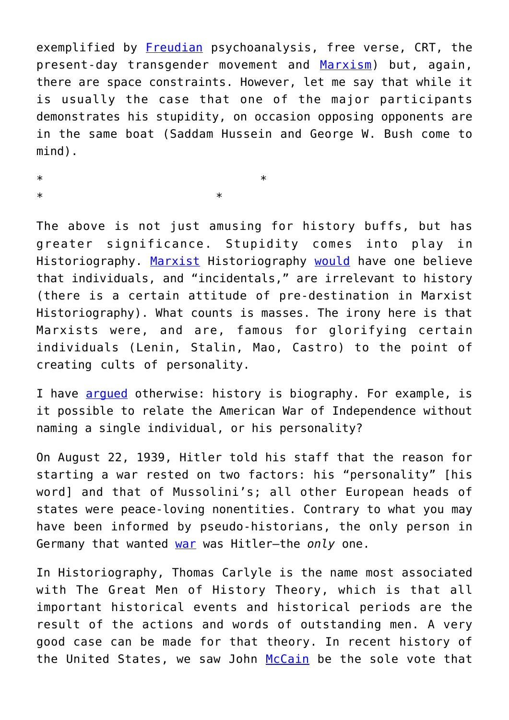exemplified by [Freudian](https://www.tandfonline.com/doi/abs/10.1080/10911359.2019.1673869) psychoanalysis, free verse, CRT, the present-day transgender movement and [Marxism](https://www.newenglishreview.org/Armando_Simon/Marxism_Madness/)) but, again, there are space constraints. However, let me say that while it is usually the case that one of the major participants demonstrates his stupidity, on occasion opposing opponents are in the same boat (Saddam Hussein and George W. Bush come to mind).

 $*$ 

 $*$ 

The above is not just amusing for history buffs, but has greater significance. Stupidity comes into play in Historiography. [Marxist](https://www.amazon.com/Philosophy-History-Our-Time-Commentary/dp/0385093977/ref=sr_1_1?keywords=The+Philosophy+of+history+in+our+time+by+meyerhoff&qid=1636224441&s=audible&sr=1-1) Historiography [would](https://www.amazon.com/Reflections-Marxist-Theory-History-Blackledge/dp/0719069572/ref=sr_1_12?keywords=marxist+history&qid=1636856245&s=books&sr=1-12) have one believe that individuals, and "incidentals," are irrelevant to history (there is a certain attitude of pre-destination in Marxist Historiography). What counts is masses. The irony here is that Marxists were, and are, famous for glorifying certain individuals (Lenin, Stalin, Mao, Castro) to the point of creating cults of personality.

I have **arqued** otherwise: history is biography. For example, is it possible to relate the American War of Independence without naming a single individual, or his personality?

On August 22, 1939, Hitler told his staff that the reason for starting a war rested on two factors: his "personality" [his word] and that of Mussolini's; all other European heads of states were peace-loving nonentities. Contrary to what you may have been informed by pseudo-historians, the only person in Germany that wanted [war](https://www.amazon.com/Rise-Fall-Third-Reich-History/dp/0831774045/ref=sr_1_3?crid=330A9WA6NXPCW&keywords=the+rise+and+fall+of+the+third+reich&qid=1637816931&sprefix=the+rise+and+fall+of+the+thi%2Caps%2C206&sr=8-3) was Hitler—the *only* one.

In Historiography, Thomas Carlyle is the name most associated with The Great Men of History Theory, which is that all important historical events and historical periods are the result of the actions and words of outstanding men. A very good case can be made for that theory. In recent history of the United States, we saw John [McCain](https://www.nbcnews.com/health/obamacare/mccain-hated-obamacare-he-also-saved-it-n904106) be the sole vote that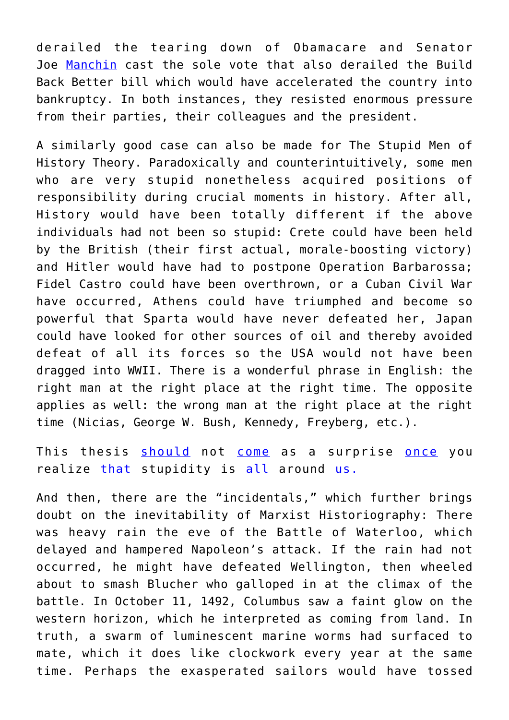derailed the tearing down of Obamacare and Senator Joe [Manchin](https://www.breitbart.com/politics/2021/12/20/peter-schweizer-joe-manchin-resisted-offers-cronyism-corruption-self-enrichment/) cast the sole vote that also derailed the Build Back Better bill which would have accelerated the country into bankruptcy. In both instances, they resisted enormous pressure from their parties, their colleagues and the president.

A similarly good case can also be made for The Stupid Men of History Theory. Paradoxically and counterintuitively, some men who are very stupid nonetheless acquired positions of responsibility during crucial moments in history. After all, History would have been totally different if the above individuals had not been so stupid: Crete could have been held by the British (their first actual, morale-boosting victory) and Hitler would have had to postpone Operation Barbarossa; Fidel Castro could have been overthrown, or a Cuban Civil War have occurred, Athens could have triumphed and become so powerful that Sparta would have never defeated her, Japan could have looked for other sources of oil and thereby avoided defeat of all its forces so the USA would not have been dragged into WWII. There is a wonderful phrase in English: the right man at the right place at the right time. The opposite applies as well: the wrong man at the right place at the right time (Nicias, George W. Bush, Kennedy, Freyberg, etc.).

This thesis [should](https://nypost.com/2015/07/05/man-dies-instantly-after-launching-firework-off-head/) not [come](https://www.thejournal.ie/man-shouts-fck-alligators-gets-eaten-by-alligators-2200353-Jul2015/) as a surprise [once](https://dailycaller.com/2021/12/10/mcdonalds-freak-out-video-woman-twitter-gafollowers/) you realize [that](https://www.takimag.com/article/the-week-that-perished-168/) stupidity is [all](https://www.bbc.com/news/uk-35785834) around [us.](https://connectingdirectors.com/57345-darwin-awards-honor-ridiculous-deaths)

And then, there are the "incidentals," which further brings doubt on the inevitability of Marxist Historiography: There was heavy rain the eve of the Battle of Waterloo, which delayed and hampered Napoleon's attack. If the rain had not occurred, he might have defeated Wellington, then wheeled about to smash Blucher who galloped in at the climax of the battle. In October 11, 1492, Columbus saw a faint glow on the western horizon, which he interpreted as coming from land. In truth, a swarm of luminescent marine worms had surfaced to mate, which it does like clockwork every year at the same time. Perhaps the exasperated sailors would have tossed